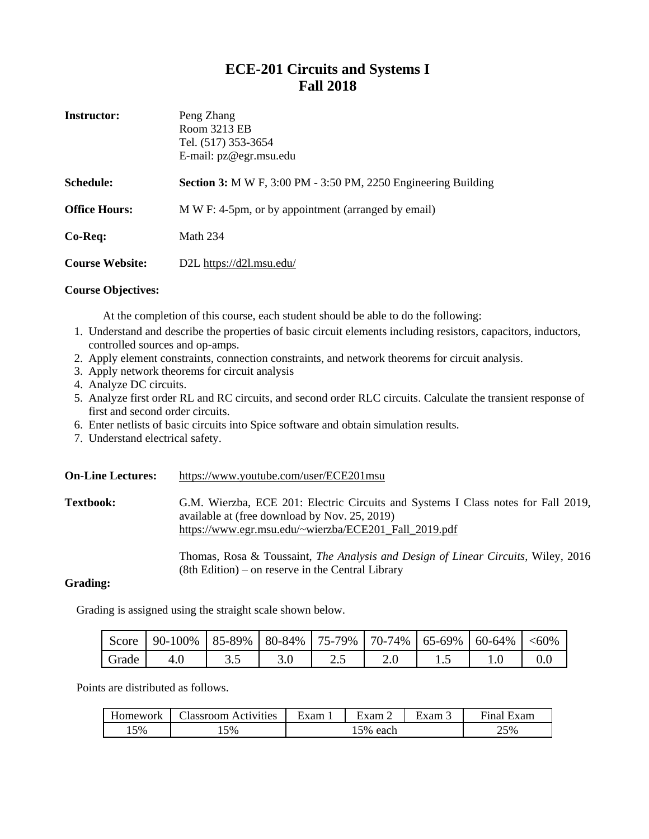## **ECE-201 Circuits and Systems I Fall 2018**

| <b>Instructor:</b>     | Peng Zhang<br>Room 3213 EB<br>Tel. (517) 353-3654<br>E-mail: pz@egr.msu.edu |
|------------------------|-----------------------------------------------------------------------------|
| <b>Schedule:</b>       | <b>Section 3:</b> M W F, 3:00 PM - 3:50 PM, 2250 Engineering Building       |
| <b>Office Hours:</b>   | M W F: 4-5pm, or by appointment (arranged by email)                         |
| Co-Req:                | <b>Math 234</b>                                                             |
| <b>Course Website:</b> | D2L https://d2l.msu.edu/                                                    |

### **Course Objectives:**

At the completion of this course, each student should be able to do the following:

- 1. Understand and describe the properties of basic circuit elements including resistors, capacitors, inductors, controlled sources and op-amps.
- 2. Apply element constraints, connection constraints, and network theorems for circuit analysis.
- 3. Apply network theorems for circuit analysis
- 4. Analyze DC circuits.
- 5. Analyze first order RL and RC circuits, and second order RLC circuits. Calculate the transient response of first and second order circuits.
- 6. Enter netlists of basic circuits into Spice software and obtain simulation results.
- 7. Understand electrical safety.

| <b>On-Line Lectures:</b> | https://www.youtube.com/user/ECE201msu                                                                                                                                                      |
|--------------------------|---------------------------------------------------------------------------------------------------------------------------------------------------------------------------------------------|
| <b>Textbook:</b>         | G.M. Wierzba, ECE 201: Electric Circuits and Systems I Class notes for Fall 2019,<br>available at (free download by Nov. 25, 2019)<br>https://www.egr.msu.edu/~wierzba/ECE201_Fall_2019.pdf |
|                          | Thomas, Rosa & Toussaint, The Analysis and Design of Linear Circuits, Wiley, 2016<br>$(8th Edition)$ – on reserve in the Central Library                                                    |

### **Grading:**

Grading is assigned using the straight scale shown below.

|       | Score   90-100%   85-89%   80-84%   75-79%   70-74%   65-69%   60-64%   <60% |  |  |  |  |
|-------|------------------------------------------------------------------------------|--|--|--|--|
| Grade |                                                                              |  |  |  |  |

Points are distributed as follows.

| Homework | Aassroom<br>Activities | –<br>∹xam | ±xam 2         | $\blacksquare$<br>$\text{Exam}$ . | Final<br>Exam |
|----------|------------------------|-----------|----------------|-----------------------------------|---------------|
| 5%،      | 15%                    |           | !5% each<br>⊥ັ |                                   | 25%           |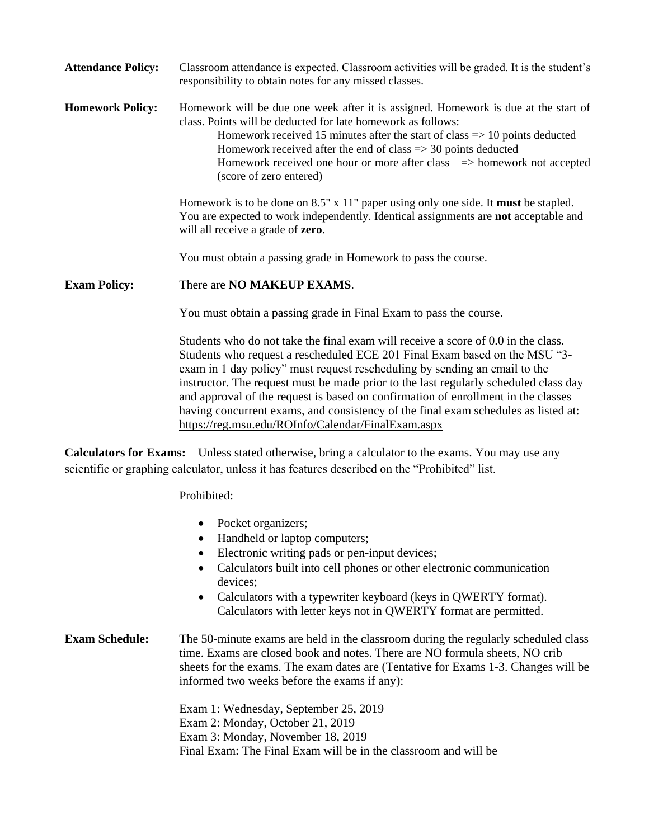| <b>Attendance Policy:</b> | Classroom attendance is expected. Classroom activities will be graded. It is the student's<br>responsibility to obtain notes for any missed classes.                                                                                                                                                                                                                                                                                        |
|---------------------------|---------------------------------------------------------------------------------------------------------------------------------------------------------------------------------------------------------------------------------------------------------------------------------------------------------------------------------------------------------------------------------------------------------------------------------------------|
| <b>Homework Policy:</b>   | Homework will be due one week after it is assigned. Homework is due at the start of<br>class. Points will be deducted for late homework as follows:<br>Homework received 15 minutes after the start of class $\Rightarrow$ 10 points deducted<br>Homework received after the end of class $\Rightarrow$ 30 points deducted<br>Homework received one hour or more after class $\Rightarrow$ homework not accepted<br>(score of zero entered) |
|                           | Homework is to be done on $8.5" \times 11"$ paper using only one side. It must be stapled.<br>You are expected to work independently. Identical assignments are not acceptable and<br>will all receive a grade of <b>zero</b> .                                                                                                                                                                                                             |
|                           | You must obtain a passing grade in Homework to pass the course.                                                                                                                                                                                                                                                                                                                                                                             |
| <b>Exam Policy:</b>       | There are NO MAKEUP EXAMS.                                                                                                                                                                                                                                                                                                                                                                                                                  |
|                           | You must obtain a passing grade in Final Exam to pass the course.                                                                                                                                                                                                                                                                                                                                                                           |
|                           | Students who do not take the final exam will receive a score of 0.0 in the class.<br>Students who request a rescheduled ECE 201 Final Exam based on the MSU "3-<br>exam in 1 day policy" must request rescheduling by sending an email to the<br>instructor. The request must be made prior to the last regularly scheduled class day                                                                                                       |

having concurrent exams, and consistency of the final exam schedules as listed at: <https://reg.msu.edu/ROInfo/Calendar/FinalExam.aspx>

**Calculators for Exams:** Unless stated otherwise, bring a calculator to the exams. You may use any scientific or graphing calculator, unless it has features described on the "Prohibited" list.

Prohibited:

- Pocket organizers;
- Handheld or laptop computers;
- Electronic writing pads or pen-input devices;
- Calculators built into cell phones or other electronic communication devices;

and approval of the request is based on confirmation of enrollment in the classes

 Calculators with a typewriter keyboard (keys in QWERTY format). Calculators with letter keys not in QWERTY format are permitted.

### **Exam Schedule:** The 50-minute exams are held in the classroom during the regularly scheduled class time. Exams are closed book and notes. There are NO formula sheets, NO crib sheets for the exams. The exam dates are (Tentative for Exams 1-3. Changes will be informed two weeks before the exams if any):

Exam 1: Wednesday, September 25, 2019 Exam 2: Monday, October 21, 2019 Exam 3: Monday, November 18, 2019 Final Exam: The Final Exam will be in the classroom and will be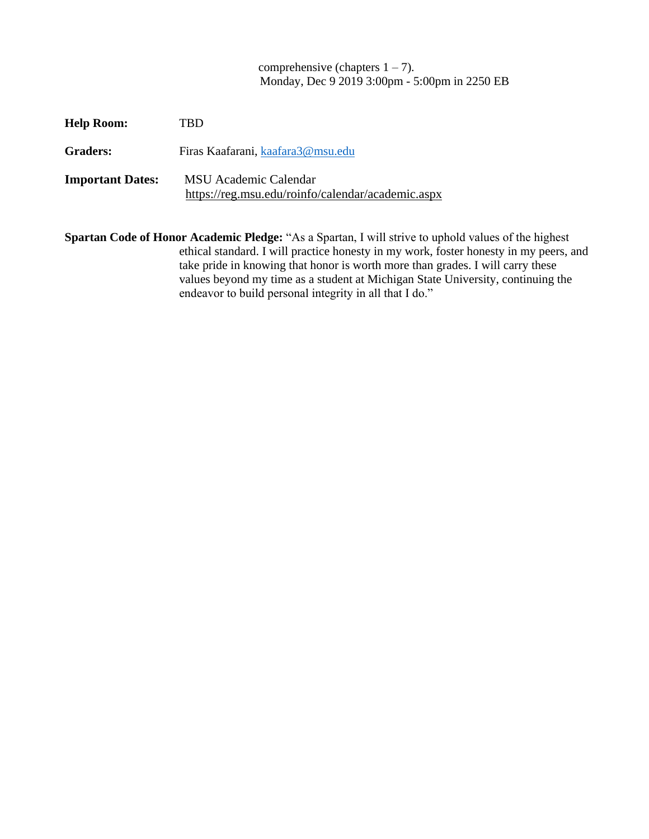comprehensive (chapters  $1 - 7$ ). Monday, Dec 9 2019 3:00pm - 5:00pm in 2250 EB

| <b>Help Room:</b>       | TBD                                                                               |
|-------------------------|-----------------------------------------------------------------------------------|
| <b>Graders:</b>         | Firas Kaafarani, kaafara3@msu.edu                                                 |
| <b>Important Dates:</b> | <b>MSU</b> Academic Calendar<br>https://reg.msu.edu/roinfo/calendar/academic.aspx |

**Spartan Code of Honor Academic Pledge:** "As a Spartan, I will strive to uphold values of the highest ethical standard. I will practice honesty in my work, foster honesty in my peers, and take pride in knowing that honor is worth more than grades. I will carry these values beyond my time as a student at Michigan State University, continuing the endeavor to build personal integrity in all that I do."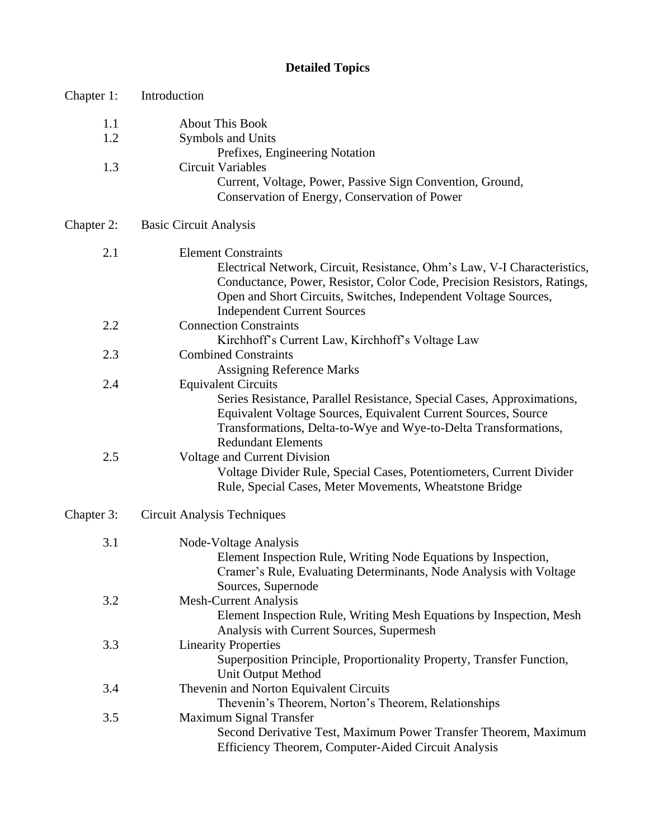# **Detailed Topics**

| Chapter 1: | Introduction                                                                                               |
|------------|------------------------------------------------------------------------------------------------------------|
| 1.1        | <b>About This Book</b>                                                                                     |
| 1.2        | Symbols and Units                                                                                          |
|            | Prefixes, Engineering Notation                                                                             |
| 1.3        | <b>Circuit Variables</b>                                                                                   |
|            | Current, Voltage, Power, Passive Sign Convention, Ground,<br>Conservation of Energy, Conservation of Power |
| Chapter 2: | <b>Basic Circuit Analysis</b>                                                                              |
| 2.1        | <b>Element Constraints</b>                                                                                 |
|            | Electrical Network, Circuit, Resistance, Ohm's Law, V-I Characteristics,                                   |
|            | Conductance, Power, Resistor, Color Code, Precision Resistors, Ratings,                                    |
|            | Open and Short Circuits, Switches, Independent Voltage Sources,                                            |
|            | <b>Independent Current Sources</b>                                                                         |
| 2.2        | <b>Connection Constraints</b>                                                                              |
| 2.3        | Kirchhoff's Current Law, Kirchhoff's Voltage Law<br><b>Combined Constraints</b>                            |
|            | <b>Assigning Reference Marks</b>                                                                           |
| 2.4        | <b>Equivalent Circuits</b>                                                                                 |
|            | Series Resistance, Parallel Resistance, Special Cases, Approximations,                                     |
|            | Equivalent Voltage Sources, Equivalent Current Sources, Source                                             |
|            | Transformations, Delta-to-Wye and Wye-to-Delta Transformations,                                            |
|            | <b>Redundant Elements</b>                                                                                  |
| 2.5        | Voltage and Current Division                                                                               |
|            | Voltage Divider Rule, Special Cases, Potentiometers, Current Divider                                       |
|            | Rule, Special Cases, Meter Movements, Wheatstone Bridge                                                    |
| Chapter 3: | <b>Circuit Analysis Techniques</b>                                                                         |
| 3.1        | Node-Voltage Analysis                                                                                      |
|            | Element Inspection Rule, Writing Node Equations by Inspection,                                             |
|            | Cramer's Rule, Evaluating Determinants, Node Analysis with Voltage                                         |
|            | Sources, Supernode                                                                                         |
| 3.2        | <b>Mesh-Current Analysis</b>                                                                               |
|            | Element Inspection Rule, Writing Mesh Equations by Inspection, Mesh                                        |
| 3.3        | Analysis with Current Sources, Supermesh<br><b>Linearity Properties</b>                                    |
|            | Superposition Principle, Proportionality Property, Transfer Function,                                      |
|            | Unit Output Method                                                                                         |
| 3.4        | Thevenin and Norton Equivalent Circuits                                                                    |
|            | Thevenin's Theorem, Norton's Theorem, Relationships                                                        |
| 3.5        | Maximum Signal Transfer                                                                                    |
|            | Second Derivative Test, Maximum Power Transfer Theorem, Maximum                                            |
|            | Efficiency Theorem, Computer-Aided Circuit Analysis                                                        |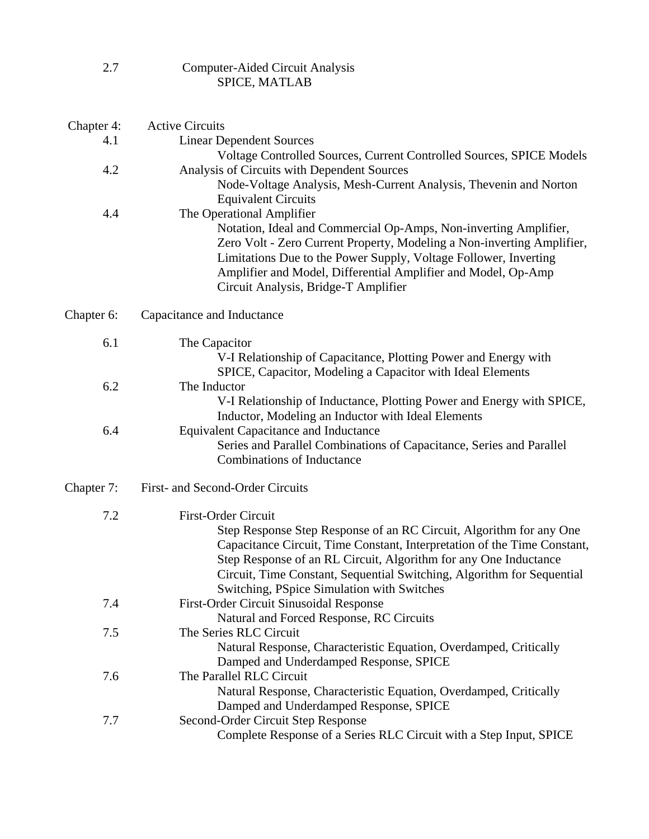| 2.7        | <b>Computer-Aided Circuit Analysis</b><br>SPICE, MATLAB                                                                                                                                                                                                                                                                 |
|------------|-------------------------------------------------------------------------------------------------------------------------------------------------------------------------------------------------------------------------------------------------------------------------------------------------------------------------|
| Chapter 4: | <b>Active Circuits</b>                                                                                                                                                                                                                                                                                                  |
| 4.1        | <b>Linear Dependent Sources</b>                                                                                                                                                                                                                                                                                         |
|            | Voltage Controlled Sources, Current Controlled Sources, SPICE Models                                                                                                                                                                                                                                                    |
| 4.2        | Analysis of Circuits with Dependent Sources                                                                                                                                                                                                                                                                             |
|            | Node-Voltage Analysis, Mesh-Current Analysis, Thevenin and Norton                                                                                                                                                                                                                                                       |
|            | <b>Equivalent Circuits</b>                                                                                                                                                                                                                                                                                              |
| 4.4        | The Operational Amplifier                                                                                                                                                                                                                                                                                               |
|            | Notation, Ideal and Commercial Op-Amps, Non-inverting Amplifier,<br>Zero Volt - Zero Current Property, Modeling a Non-inverting Amplifier,<br>Limitations Due to the Power Supply, Voltage Follower, Inverting<br>Amplifier and Model, Differential Amplifier and Model, Op-Amp<br>Circuit Analysis, Bridge-T Amplifier |
| Chapter 6: | Capacitance and Inductance                                                                                                                                                                                                                                                                                              |
| 6.1        | The Capacitor                                                                                                                                                                                                                                                                                                           |
|            | V-I Relationship of Capacitance, Plotting Power and Energy with                                                                                                                                                                                                                                                         |
|            | SPICE, Capacitor, Modeling a Capacitor with Ideal Elements                                                                                                                                                                                                                                                              |
| 6.2        | The Inductor                                                                                                                                                                                                                                                                                                            |
|            | V-I Relationship of Inductance, Plotting Power and Energy with SPICE,                                                                                                                                                                                                                                                   |
|            | Inductor, Modeling an Inductor with Ideal Elements                                                                                                                                                                                                                                                                      |
| 6.4        | <b>Equivalent Capacitance and Inductance</b>                                                                                                                                                                                                                                                                            |
|            | Series and Parallel Combinations of Capacitance, Series and Parallel<br><b>Combinations of Inductance</b>                                                                                                                                                                                                               |
| Chapter 7: | First- and Second-Order Circuits                                                                                                                                                                                                                                                                                        |
| 7.2        | <b>First-Order Circuit</b>                                                                                                                                                                                                                                                                                              |
|            | Step Response Step Response of an RC Circuit, Algorithm for any One                                                                                                                                                                                                                                                     |
|            | Capacitance Circuit, Time Constant, Interpretation of the Time Constant,                                                                                                                                                                                                                                                |
|            | Step Response of an RL Circuit, Algorithm for any One Inductance                                                                                                                                                                                                                                                        |
|            | Circuit, Time Constant, Sequential Switching, Algorithm for Sequential                                                                                                                                                                                                                                                  |
|            | Switching, PSpice Simulation with Switches                                                                                                                                                                                                                                                                              |
| 7.4        | First-Order Circuit Sinusoidal Response                                                                                                                                                                                                                                                                                 |
|            | Natural and Forced Response, RC Circuits<br>The Series RLC Circuit                                                                                                                                                                                                                                                      |
| 7.5        | Natural Response, Characteristic Equation, Overdamped, Critically                                                                                                                                                                                                                                                       |
|            | Damped and Underdamped Response, SPICE                                                                                                                                                                                                                                                                                  |
| 7.6        | The Parallel RLC Circuit                                                                                                                                                                                                                                                                                                |
|            | Natural Response, Characteristic Equation, Overdamped, Critically                                                                                                                                                                                                                                                       |
|            | Damped and Underdamped Response, SPICE                                                                                                                                                                                                                                                                                  |
| 7.7        | Second-Order Circuit Step Response                                                                                                                                                                                                                                                                                      |
|            | Complete Response of a Series RLC Circuit with a Step Input, SPICE                                                                                                                                                                                                                                                      |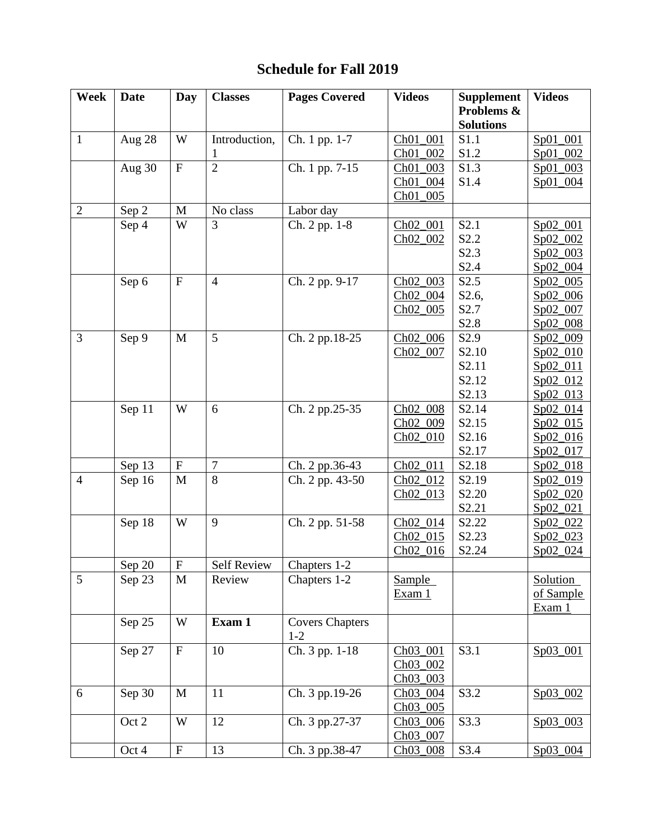# **Schedule for Fall 2019**

| Week           | <b>Date</b> | Day                       | <b>Classes</b>     | <b>Pages Covered</b>            | <b>Videos</b>        | <b>Supplement</b> | <b>Videos</b>   |
|----------------|-------------|---------------------------|--------------------|---------------------------------|----------------------|-------------------|-----------------|
|                |             |                           |                    |                                 |                      | Problems &        |                 |
|                |             |                           |                    |                                 |                      | <b>Solutions</b>  |                 |
| $\mathbf{1}$   | Aug 28      | W                         | Introduction,      | Ch. 1 pp. 1-7                   | Ch01_001             | S1.1              | Sp01_001        |
|                |             |                           |                    |                                 | Ch01_002             | S1.2              | Sp01 002        |
|                | Aug 30      | $\mathbf F$               | $\overline{2}$     | Ch. 1 pp. 7-15                  | Ch01_003             | S1.3              | Sp01_003        |
|                |             |                           |                    |                                 | Ch01_004             | S1.4              | Sp01_004        |
|                |             |                           |                    |                                 | Ch01_005             |                   |                 |
| $\overline{2}$ | Sep 2       | $\mathbf{M}$              | No class           | Labor day                       |                      |                   |                 |
|                | Sep 4       | W                         | 3                  | Ch. 2 pp. 1-8                   | Ch02_001             | S2.1              | Sp02_001        |
|                |             |                           |                    |                                 | Ch02_002             | S2.2              | Sp02_002        |
|                |             |                           |                    |                                 |                      | S2.3              | $Sp02_003$      |
|                |             |                           |                    |                                 |                      | S <sub>2.4</sub>  | $Sp02_004$      |
|                | Sep 6       | $\mathbf F$               | $\overline{4}$     | Ch. 2 pp. 9-17                  | Ch <sub>02_003</sub> | S2.5              | Sp02_005        |
|                |             |                           |                    |                                 | Ch02_004             | S2.6,             | Sp02_006        |
|                |             |                           |                    |                                 | $ChO2$ 005           | S2.7              | Sp02_007        |
|                |             |                           |                    |                                 |                      | S2.8              | $Sp02_008$      |
| 3              | Sep 9       | M                         | 5                  | Ch. 2 pp.18-25                  | Ch02_006             | S2.9              | Sp02_009        |
|                |             |                           |                    |                                 | Ch02_007             | S2.10             | Sp02_010        |
|                |             |                           |                    |                                 |                      | S2.11             | Sp02_011        |
|                |             |                           |                    |                                 |                      | S2.12             | Sp02_012        |
|                |             |                           |                    |                                 |                      | S2.13             | Sp02_013        |
|                | Sep 11      | W                         | 6                  | Ch. 2 pp.25-35                  | Ch02_008             | S2.14             | Sp02_014        |
|                |             |                           |                    |                                 | Ch02_009             | S2.15             | Sp02_015        |
|                |             |                           |                    |                                 | $ChO2_010$           | S2.16             | $Sp02_016$      |
|                |             |                           |                    |                                 |                      | S2.17             | Sp02_017        |
|                | Sep 13      | $\mathbf F$               | 7                  | Ch. 2 pp.36-43                  | Ch02_011             | S <sub>2.18</sub> | $Sp02_018$      |
| $\overline{4}$ | Sep 16      | M                         | 8                  | Ch. 2 pp. 43-50                 | Ch <sub>02_012</sub> | S2.19             | Sp02_019        |
|                |             |                           |                    |                                 | $ChO2_013$           | S2.20             | Sp02_020        |
|                |             |                           |                    |                                 |                      | S2.21             | $Sp02_021$      |
|                | Sep 18      | W                         | 9                  | Ch. 2 pp. 51-58                 | Ch02_014             | S2.22             | Sp02_022        |
|                |             |                           |                    |                                 | Ch02_015             | S2.23             | $Sp02_023$      |
|                |             |                           |                    |                                 | Ch02_016             | S2.24             | Sp02_024        |
|                | Sep 20      | $\boldsymbol{\mathrm{F}}$ | <b>Self Review</b> | Chapters 1-2                    |                      |                   |                 |
| 5              | Sep 23      | M                         | Review             | Chapters 1-2                    | <b>Sample</b>        |                   | <b>Solution</b> |
|                |             |                           |                    |                                 | Exam 1               |                   | of Sample       |
|                |             |                           |                    |                                 |                      |                   | Exam 1          |
|                | Sep 25      | W                         | Exam 1             | <b>Covers Chapters</b><br>$1-2$ |                      |                   |                 |
|                | Sep 27      | $\mathbf F$               | 10                 | Ch. 3 pp. 1-18                  | Ch03_001             | S3.1              | Sp03_001        |
|                |             |                           |                    |                                 | Ch03_002             |                   |                 |
|                |             |                           |                    |                                 | Ch03_003             |                   |                 |
| 6              | Sep 30      | M                         | 11                 | Ch. 3 pp.19-26                  | Ch03_004             | S3.2              | Sp03_002        |
|                |             |                           |                    |                                 | Ch03_005             |                   |                 |
|                | Oct 2       | W                         | 12                 | Ch. 3 pp.27-37                  | Ch03_006             | S3.3              | Sp03_003        |
|                |             |                           |                    |                                 | Ch03_007             |                   |                 |
|                | Oct 4       | ${\bf F}$                 | 13                 | Ch. 3 pp.38-47                  | Ch03_008             | S3.4              | Sp03_004        |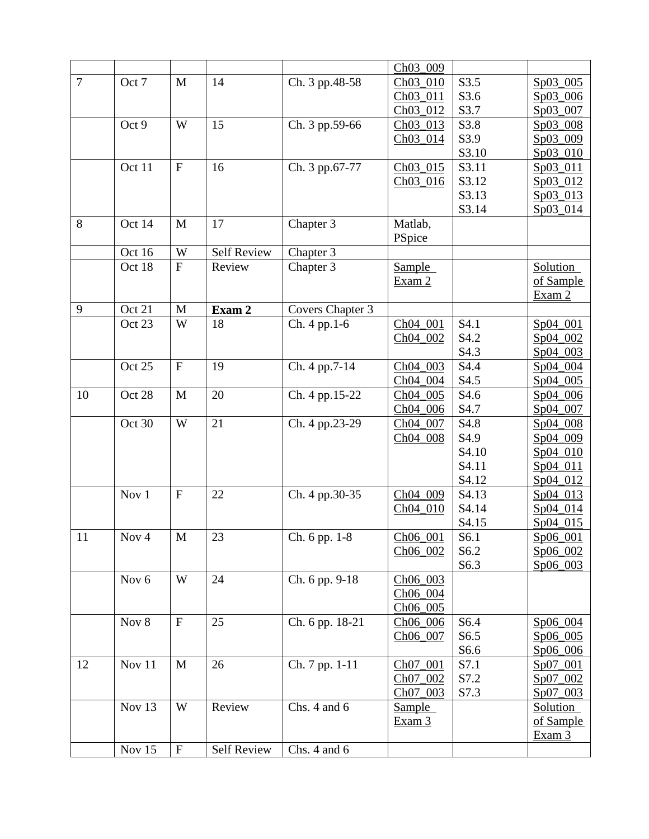|                |        |                           |                    |                  | Ch03_009        |       |                 |
|----------------|--------|---------------------------|--------------------|------------------|-----------------|-------|-----------------|
| $\overline{7}$ | Oct 7  | M                         | 14                 | Ch. 3 pp.48-58   | Ch03_010        | S3.5  | Sp03_005        |
|                |        |                           |                    |                  | Ch03_011        | S3.6  | Sp03_006        |
|                |        |                           |                    |                  | Ch03_012        | S3.7  | Sp03_007        |
|                | Oct 9  | W                         | 15                 | Ch. 3 pp.59-66   | Ch03_013        | S3.8  | Sp03_008        |
|                |        |                           |                    |                  | Ch03_014        | S3.9  | Sp03_009        |
|                |        |                           |                    |                  |                 | S3.10 | Sp03_010        |
|                | Oct 11 | $\boldsymbol{\mathrm{F}}$ | 16                 | Ch. 3 pp.67-77   | Ch03_015        | S3.11 | Sp03_011        |
|                |        |                           |                    |                  | Ch03_016        | S3.12 | Sp03_012        |
|                |        |                           |                    |                  |                 | S3.13 | Sp03_013        |
|                |        |                           |                    |                  |                 | S3.14 | Sp03_014        |
| 8              | Oct 14 | M                         | 17                 | Chapter 3        | Matlab,         |       |                 |
|                |        |                           |                    |                  | PSpice          |       |                 |
|                | Oct 16 | W                         | <b>Self Review</b> | Chapter 3        |                 |       |                 |
|                | Oct 18 | $\mathbf F$               | Review             | Chapter 3        | Sample          |       | Solution        |
|                |        |                           |                    |                  | Exam 2          |       | of Sample       |
|                |        |                           |                    |                  |                 |       | Exam 2          |
| 9              | Oct 21 | M                         | Exam 2             | Covers Chapter 3 |                 |       |                 |
|                | Oct 23 | W                         | 18                 | Ch. 4 pp.1-6     | Ch04_001        | S4.1  | Sp04_001        |
|                |        |                           |                    |                  | Ch04_002        | S4.2  | Sp04_002        |
|                |        |                           |                    |                  |                 | S4.3  | Sp04_003        |
|                | Oct 25 | $\boldsymbol{\mathrm{F}}$ | 19                 | Ch. 4 pp.7-14    | Ch04_003        | S4.4  | Sp04_004        |
|                |        |                           |                    |                  | Ch04_004        | S4.5  | Sp04_005        |
| 10             | Oct 28 | M                         | 20                 | Ch. 4 pp.15-22   | Ch04_005        | S4.6  | Sp04_006        |
|                |        |                           |                    |                  | Ch04_006        | S4.7  | Sp04_007        |
|                | Oct 30 | W                         | 21                 | Ch. 4 pp.23-29   | Ch04_007        | S4.8  | Sp04_008        |
|                |        |                           |                    |                  | Ch04_008        | S4.9  | Sp04_009        |
|                |        |                           |                    |                  |                 | S4.10 | Sp04_010        |
|                |        |                           |                    |                  |                 | S4.11 | $Sp04_011$      |
|                |        |                           |                    |                  |                 | S4.12 | $Sp04_012$      |
|                | Nov 1  | ${\bf F}$                 | 22                 | Ch. 4 pp.30-35   | Ch04_009        | S4.13 | Sp04_013        |
|                |        |                           |                    |                  | Ch04_010        | S4.14 | Sp04_014        |
|                |        |                           |                    |                  |                 | S4.15 | Sp04_015        |
| 11             | Nov 4  | M                         | 23                 | $Ch. 6 pp. 1-8$  | <u>Ch06_001</u> | S6.1  | <u>Sp06_001</u> |
|                |        |                           |                    |                  | Ch06_002        | S6.2  | Sp06_002        |
|                |        |                           |                    |                  |                 | S6.3  | $Sp06_003$      |
|                | Nov 6  | W                         | 24                 | Ch. 6 pp. 9-18   | Ch06_003        |       |                 |
|                |        |                           |                    |                  | Ch06_004        |       |                 |
|                |        |                           |                    |                  | Ch06_005        |       |                 |
|                | Nov 8  | $\mathbf F$               | 25                 | Ch. 6 pp. 18-21  | Ch06_006        | S6.4  | Sp06_004        |
|                |        |                           |                    |                  | Ch06_007        | S6.5  | $Sp06_005$      |
|                |        |                           |                    |                  |                 | S6.6  | Sp06_006        |
| 12             | Nov 11 | M                         | 26                 | Ch. 7 pp. 1-11   | Ch07_001        | S7.1  | Sp07_001        |
|                |        |                           |                    |                  | Ch07_002        | S7.2  | Sp07_002        |
|                |        |                           |                    |                  | Ch07_003        | S7.3  | $Sp07_003$      |
|                | Nov 13 | W                         | Review             | Chs. 4 and 6     | <b>Sample</b>   |       | <b>Solution</b> |
|                |        |                           |                    |                  | Exam 3          |       | of Sample       |
|                |        |                           |                    |                  |                 |       | Exam 3          |
|                | Nov 15 | $\mathbf F$               | <b>Self Review</b> | Chs. 4 and 6     |                 |       |                 |
|                |        |                           |                    |                  |                 |       |                 |